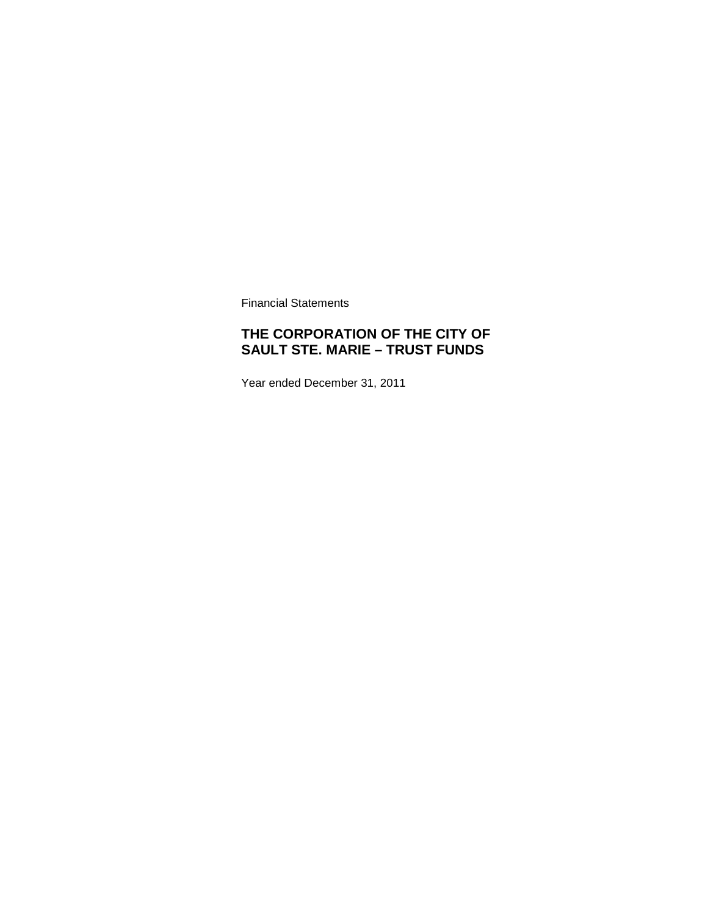Financial Statements

# **THE CORPORATION OF THE CITY OF SAULT STE. MARIE – TRUST FUNDS**

Year ended December 31, 2011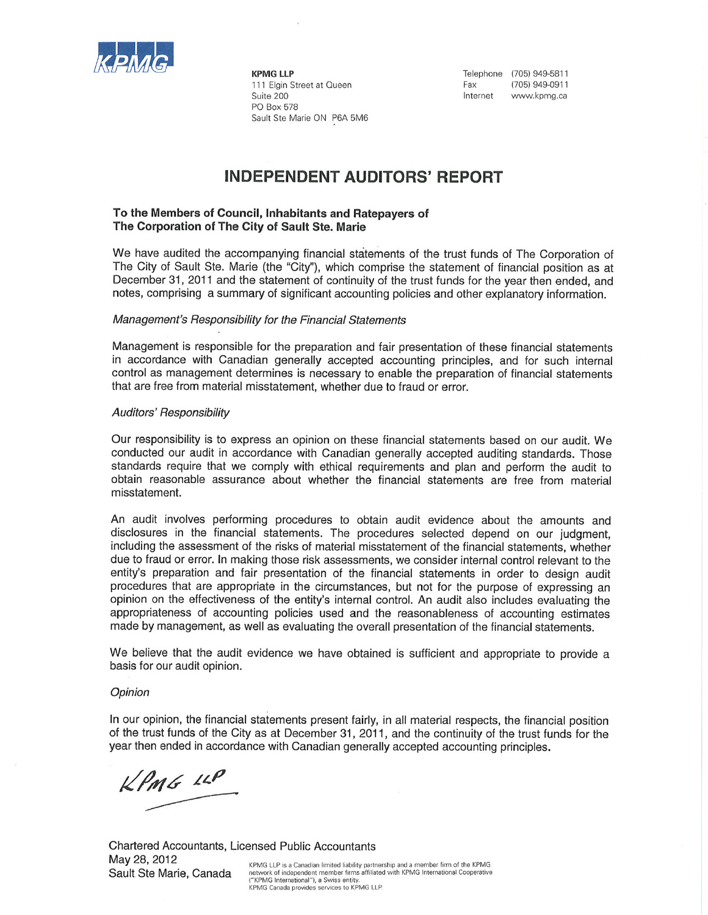

KPMG LLP 111 Elgin Street at Queen Suite 200 PO Box 578 Sault Ste Marie ON P6A 5M6 Telephone (705) 949-5811 Fax (705) 949-0911 Internet www.kpmg.ca

# **INDEPENDENT AUDITORS' REPORT**

### To the Members of Council, Inhabitants and Ratepayers of The Corporation of The City of Sault Ste. Marie

We have audited the accompanying financial statements of the trust funds of The Corporation of The City of Sault Ste. Marie (the "City"), which comprise the statement of financial position as at December 31, 2011 and the statement of continuity of the trust funds for the year then ended, and notes, comprising a summary of significant accounting policies and other explanatory information.

#### Management's Responsibility for the Financial Statements

Management is responsible for the preparation and fair presentation of these financial statements in accordance with Canadian generally accepted accounting principles, and for such internal control as management determines is necessary to enable the preparation of financial statements that are free from material misstatement, whether due to fraud or error.

#### **Auditors' Responsibility**

Our responsibility is to express an opinion on these financial statements based on our audit. We conducted our audit in accordance with Canadian generally accepted auditing standards. Those standards require that we comply with ethical requirements and plan and perform the audit to obtain reasonable assurance about whether the financial statements are free from material misstatement.

An audit involves performing procedures to obtain audit evidence about the amounts and disclosures in the financial statements. The procedures selected depend on our judgment, including the assessment of the risks of material misstatement of the financial statements, whether due to fraud or error. In making those risk assessments, we consider internal control relevant to the entity's preparation and fair presentation of the financial statements in order to design audit procedures that are appropriate in the circumstances, but not for the purpose of expressing an opinion on the effectiveness of the entity's internal control. An audit also includes evaluating the appropriateness of accounting policies used and the reasonableness of accounting estimates made by management, as well as evaluating the overall presentation of the financial statements.

We believe that the audit evidence we have obtained is sufficient and appropriate to provide a basis for our audit opinion.

#### Opinion

In our opinion, the financial statements present fairly, in all material respects, the financial position of the trust funds of the City as at December 31, 2011, and the continuity of the trust funds for the year then ended in accordance with Canadian generally accepted accounting principles.

KPMG LLP

Chartered Accountants, Licensed Public Accountants May 28, 2012 KPMG LLP is a Canadian limited liability partnership and a member firm of the KPMG Sault Ste Marie, Canada network of independent member firms affiliated with KPMG International Cooperative ("KPMG International"), a Swiss entity.

KPMG Canada provides services to KPMG LLP.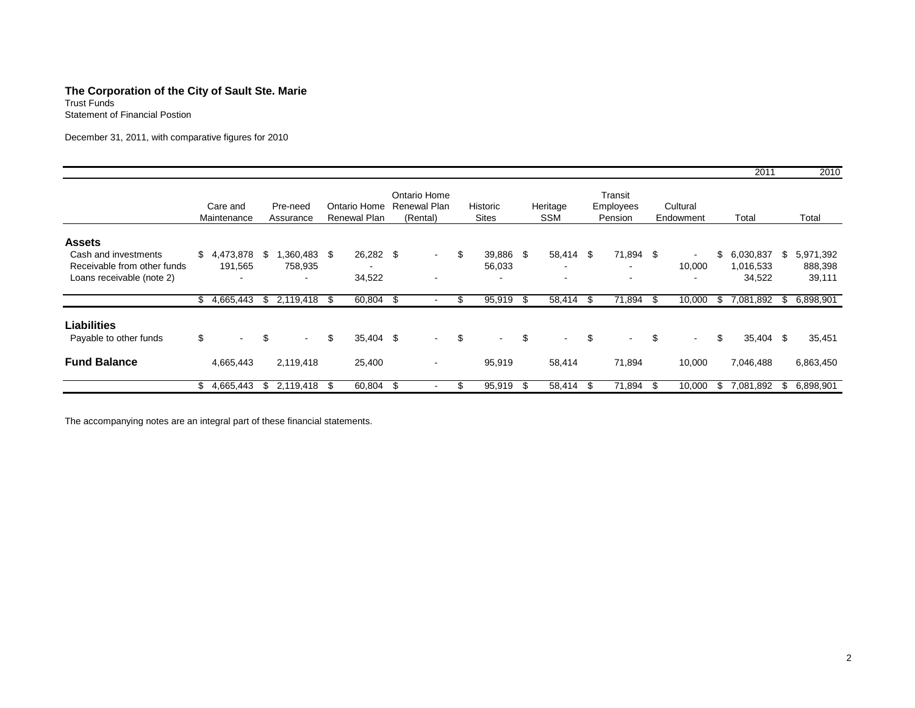# **The Corporation of the City of Sault Ste. Marie**

Trust Funds Statement of Financial Postion

December 31, 2011, with comparative figures for 2010

|                             |                         |                          |          |                              |     |                                                 |                                 |      |                 |      |                                 |     |                       |     | 2011      |     | 2010      |
|-----------------------------|-------------------------|--------------------------|----------|------------------------------|-----|-------------------------------------------------|---------------------------------|------|-----------------|------|---------------------------------|-----|-----------------------|-----|-----------|-----|-----------|
|                             | Care and<br>Maintenance | Pre-need<br>Assurance    |          | Ontario Home<br>Renewal Plan |     | Ontario Home<br><b>Renewal Plan</b><br>(Rental) | <b>Historic</b><br><b>Sites</b> |      | Heritage<br>SSM |      | Transit<br>Employees<br>Pension |     | Cultural<br>Endowment |     | Total     |     | Total     |
| <b>Assets</b>               |                         |                          |          |                              |     |                                                 |                                 |      |                 |      |                                 |     |                       |     |           |     |           |
| Cash and investments        | \$<br>4,473,878         | \$<br>1,360,483 \$       |          | 26,282 \$                    |     | $\sim$                                          | \$<br>39,886                    | \$   | 58,414 \$       |      | 71,894 \$                       |     | $\blacksquare$        | \$  | 6,030,837 | \$. | 5,971,392 |
| Receivable from other funds | 191,565                 | 758,935                  |          |                              |     |                                                 | 56,033                          |      | $\blacksquare$  |      | $\,$                            |     | 10,000                |     | 1,016,533 |     | 888,398   |
| Loans receivable (note 2)   |                         | $\overline{\phantom{a}}$ |          | 34,522                       |     |                                                 |                                 |      |                 |      | $\,$                            |     | $\,$                  |     | 34,522    |     | 39,111    |
|                             | \$<br>4,665,443         | \$<br>2,119,418 \$       |          | 60,804 \$                    |     |                                                 | 95,919                          | -\$  | 58,414          | - \$ | 71,894                          | -\$ | 10,000                | \$. | 7,081,892 | \$. | 6,898,901 |
| <b>Liabilities</b>          |                         |                          |          |                              |     |                                                 |                                 |      |                 |      |                                 |     |                       |     |           |     |           |
| Payable to other funds      | \$                      | \$<br>$\sim$             | \$       | 35,404 \$                    |     | $\sim$                                          | \$<br>$\sim$                    | \$   | $\sim$          | \$   | $\sim$                          | \$  | $\sim$                | \$  | 35,404 \$ |     | 35,451    |
| <b>Fund Balance</b>         | 4,665,443               | 2,119,418                |          | 25,400                       |     |                                                 | 95,919                          |      | 58,414          |      | 71,894                          |     | 10,000                |     | 7,046,488 |     | 6,863,450 |
|                             | \$<br>4,665,443         | \$<br>2,119,418          | <b>S</b> | 60,804                       | -\$ |                                                 | 95,919                          | - \$ | 58,414          | -\$  | 71,894                          | \$. | 10,000                | \$  | 7,081,892 | \$  | 6,898,901 |

The accompanying notes are an integral part of these financial statements.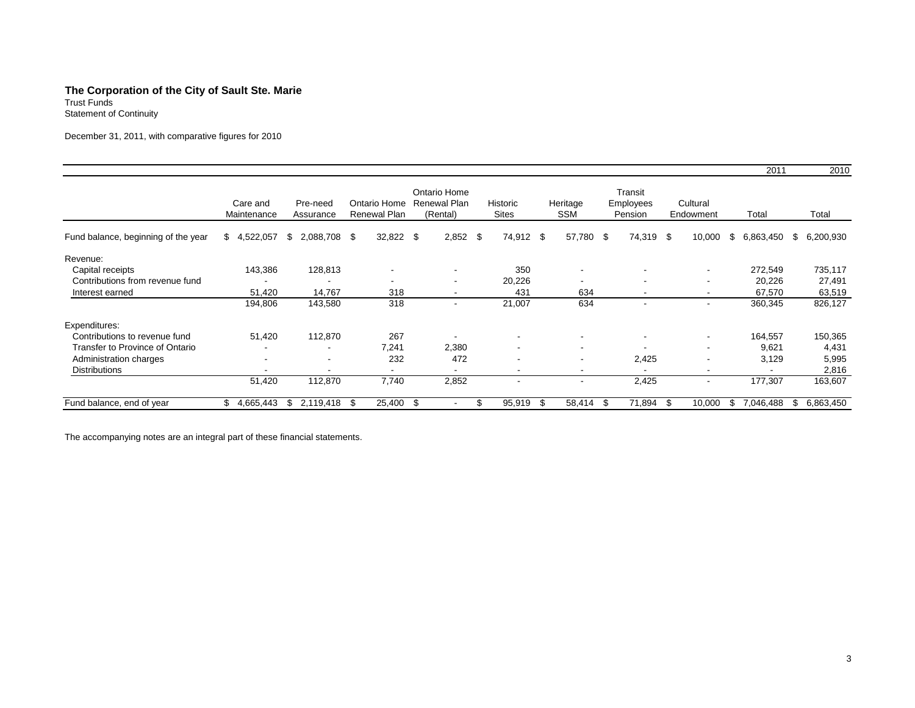#### **The Corporation of the City of Sault Ste. Marie**

Trust Funds Statement of Continuity

December 31, 2011, with comparative figures for 2010

|                                     |                         |                       |                              |                                          |                          |                          |                                        |                          | 2011                     | 2010            |  |
|-------------------------------------|-------------------------|-----------------------|------------------------------|------------------------------------------|--------------------------|--------------------------|----------------------------------------|--------------------------|--------------------------|-----------------|--|
|                                     | Care and<br>Maintenance | Pre-need<br>Assurance | Ontario Home<br>Renewal Plan | Ontario Home<br>Renewal Plan<br>(Rental) | Historic<br><b>Sites</b> | Heritage<br><b>SSM</b>   | Transit<br><b>Employees</b><br>Pension | Cultural<br>Endowment    | Total                    | Total           |  |
| Fund balance, beginning of the year | \$4,522,057             | 2,088,708<br>\$       | 32,822<br>- \$               | 2,852<br>- \$                            | - \$<br>74,912 \$        | 57,780                   | - \$<br>74,319                         | - \$<br>10,000           | \$<br>6,863,450          | \$<br>6,200,930 |  |
| Revenue:                            |                         |                       |                              |                                          |                          |                          |                                        |                          |                          |                 |  |
| Capital receipts                    | 143,386                 | 128,813               |                              |                                          | 350                      |                          |                                        | $\overline{\phantom{a}}$ | 272,549                  | 735,117         |  |
| Contributions from revenue fund     |                         |                       |                              | $\overline{\phantom{a}}$                 | 20,226                   | $\overline{\phantom{a}}$ | $\overline{\phantom{a}}$               | $\overline{\phantom{a}}$ | 20,226                   | 27,491          |  |
| Interest earned                     | 51,420                  | 14,767                | 318                          | $\overline{\phantom{a}}$                 | 431                      | 634                      | $\overline{\phantom{0}}$               | $\overline{\phantom{a}}$ | 67,570                   | 63,519          |  |
|                                     | 194,806                 | 143,580               | 318                          | $\overline{\phantom{a}}$                 | 21,007                   | 634                      | $\overline{\phantom{a}}$               | $\overline{\phantom{a}}$ | 360,345                  | 826,127         |  |
| Expenditures:                       |                         |                       |                              |                                          |                          |                          |                                        |                          |                          |                 |  |
| Contributions to revenue fund       | 51,420                  | 112,870               | 267                          | $\overline{\phantom{a}}$                 | $\overline{\phantom{a}}$ | $\overline{\phantom{a}}$ | $\overline{\phantom{a}}$               | $\overline{\phantom{a}}$ | 164,557                  | 150,365         |  |
| Transfer to Province of Ontario     |                         |                       | 7.241                        | 2,380                                    | $\overline{\phantom{a}}$ | $\overline{\phantom{a}}$ |                                        | $\overline{\phantom{a}}$ | 9,621                    | 4,431           |  |
| Administration charges              |                         |                       | 232                          | 472                                      | $\overline{\phantom{a}}$ | $\overline{\phantom{a}}$ | 2,425                                  | $\overline{\phantom{a}}$ | 3,129                    | 5,995           |  |
| <b>Distributions</b>                |                         |                       | $\overline{\phantom{a}}$     | $\overline{\phantom{a}}$                 | $\overline{\phantom{a}}$ | $\overline{\phantom{a}}$ |                                        | $\overline{\phantom{a}}$ | $\overline{\phantom{a}}$ | 2,816           |  |
|                                     | 51,420                  | 112,870               | 7,740                        | 2,852                                    | $\overline{\phantom{a}}$ | $\overline{\phantom{a}}$ | 2,425                                  | $\overline{\phantom{a}}$ | 177,307                  | 163,607         |  |
| Fund balance, end of year           | 4,665,443<br>\$.        | 2,119,418<br>\$.      | 25,400<br>- \$               | - \$                                     | 95,919                   | 58,414<br>-\$            | 71,894<br>- \$                         | 10,000<br>- \$           | 7,046,488<br>Ъ           | 6,863,450<br>S  |  |

The accompanying notes are an integral part of these financial statements.